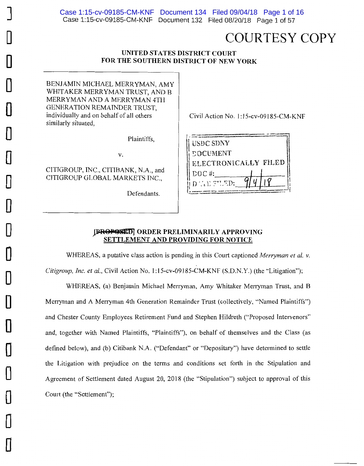# COURTESY COPY

## **UNITED STATES DISTRICT COURT FOR THE SOUTHERN DISTRICT OF NEW YORK**

BENJAMIN MICHAEL MERRYMAN, AMY WHITAKER MERRYMAN TRUST, AND B MERRYMAN AND A MERRYMAN 4TII GENERATION REMAINDER TRUST, individually and on behalf of all others similarly situated,

Plaintiffs,

V.

CITIGROUP, INC., CITIBANK, N.A., and CITIGROUP GLOBAL MARKETS INC.,

Defendants.

Civil Action No. 1: 15-cv-09185-CM-KNF

| <b>USDC SDNY</b>       |
|------------------------|
| <b><i>COCUMENT</i></b> |
| ELECTRONICALLY FILED   |
| $DOC$ #:               |
| DAL TUED:              |
|                        |

## **JPROPOSIED** ORDER PRELIMINARILY APPROVING **SETTLEMENT AND PROVIDING FOR NOTICE**

WHEREAS, a putative class action is pending in this Court captioned *Merryman et al. v. Citigroup, Inc. et al.,* Civil Action No. 1: 15-cv-09185-CM-KNF (S.D.N.Y.) (the "Litigation");

WHEREAS, (a) Benjamin Michael Merryman, Amy Whitaker Merryman Trust, and B Merryman and A Merryman 4th Generation Remainder Trust (collectively, "Named Plaintiffs") and Chester County Employees Retirement Fund and Stephen Hildreth ("Proposed Intervenors" and, together with Named Plaintiffs, "Plaintiffs"), on behalf of themselves and the Class (as defined below), and (b) Citibank N.A. ("Defendant" or "Depositary") have determined to settle the Litigation with prejudice on the terms and conditions set forth in the Stipulation and Agreement of Settlement dated August 20, 2018 (the "Stipulation") subject to approval of this Court (the "Settlement");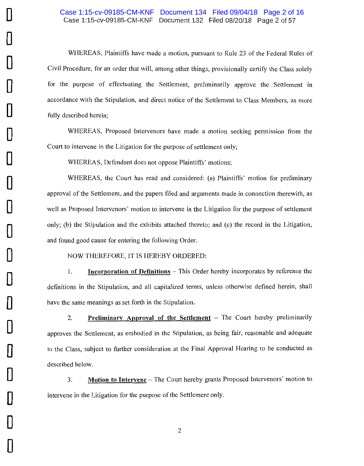### Case 1:15-cv-09185-CM-KNF Document 132 Filed 08/20/18 Page 2 of 57 Case 1:15-cv-09185-CM-KNF Document 134 Filed 09/04/18 Page 2 of 16

WHEREAS, Plaintiffs have made a motion, pursuant to Rule 23 of the Federal Rules of Civil Procedure, for an order that will, among other things, provisionally certify the Class solely for the purpose of effectuating the Settlement, preliminarily approve the Settlement in accordance with the Stipulation, and direct notice of the Settlement to Class Members, as more fully described herein;

WHEREAS, Proposed Intervenors have made a motion seeking permission from the Court to intervene in the Litigation for the purpose of settlement only;

WHEREAS, Defendant does not oppose Plaintiffs' motions;

**0** 

**0** 

**0** 

**D** 

**0** 

**0** 

**0** 

**0** 

**D** 

**0** 

**0** 

**D** 

**0** 

**0** 

**0** 

**0** 

**0** 

**0** 

**0** 

WHEREAS, the Court has read and considered: (a) Plaintiffs' motion for preliminary approval of the Settlement, and the papers filed and arguments made in connection therewith, as well as Proposed Intervenors' motion to intervene in the Litigation for the purpose of settlement only; (b) the Stipulation and the exhibits attached thereto; and  $(c)$  the record in the Litigation, and found good cause for entering the following Order.

NOW THEREFORE, IT IS HEREBY ORDERED:

1. **Incorporation of Definitions** - This Order hereby incorporates by reference the definitions in the Stipulation, and all capitalized terms, unless otherwise defined herein, shall have the same meanings as set forth in the Stipulation.

2. **Preliminary Approval of the Settlement** – The Court hereby preliminarily approves the Settlement, as embodied in the Stipulation, as being fair, reasonable and adequate to the Class, subject to further consideration at the Final Approval Hearing to be conducted as described below.

3. **Motion to Intervene** - The Court hereby grants Proposed Intervenors' motion to intervene in the Litigation for the purpose of the Settlement only.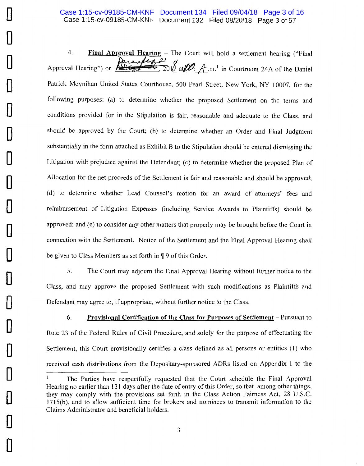4. **Final Approval Hearing -** The Court will hold a settlement hearing ("Final Approval Hearing") on  $\sqrt{2(1+e^{-2t})^2+1^2}$ , 20 *f* at *lef*: **A** m.<sup>1</sup> in Courtroom 24A of the Daniel Patrick Moynihan United States Courthouse, 500 Pearl Street, New York, NY 10007, for the following purposes: (a) to determine whether the proposed Settlement on the terms and conditions provided for in the Stipulation is fair, reasonable and adequate to the Class, and should be approved by the Court; (b) to determine whether an Order and Final Judgment substantially in the form attached as Exhibit B to the Stipulation should be entered dismissing the Litigation with prejudice against the Defendant; (c) to determine whether the proposed Plan of Allocation for the net proceeds of the Settlement is fair and reasonable and should be approved; (d) to determine whether Lead Counsel's motion for an award of attorneys' fees and reimbursement of Litigation Expenses (including Service Awards to Plaintiffs) should be approved; and (e) to consider any other matters that properly may be brought before the Court in connection with the Settlement. Notice of the Settlement and the Final Approval Hearing shall be given to Class Members as set forth in  $\P$  9 of this Order.

5. The Court may adjourn the Final Approval Hearing without further notice to the Class, and may approve the proposed Settlement with such modifications as Plaintiffs and Defendant may agree to, if appropriate, without further notice to the Class.

6. **Provisional Certification of the Class for Purposes of Settlement** - Pursuant to Rule 23 of the Federal Rules of Civil Procedure, and solely for the purpose of effectuating the Settlement, this Court provisionally certifies a class defined as all persons or entities (1) who received cash distributions from the Depositary-sponsored ADRs listed on Appendix 1 to the

The Parties have respectfully requested that the Court schedule the Final Approval Hearing no earlier than 131 days after the date of entry of this Order, so that, among other things, they may comply with the provisions set forth in the Class Action Fairness Act, 28 U.S.C. 1715(b), and to allow sufficient time for brokers and nominees to transmit information to the Claims Administrator and beneficial holders.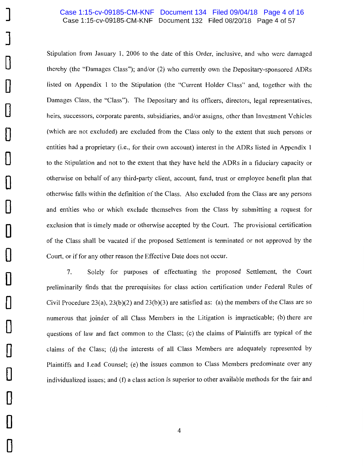#### Case 1:15-cv-09185-CM-KNF Document 132 Filed 08/20/18 Page 4 of 57 Case 1:15-cv-09185-CM-KNF Document 134 Filed 09/04/18 Page 4 of 16

Stipulation from January I, 2006 to the date of this Order, inclusive, and who were damaged thereby (the "Damages Class"); and/or (2) who currently own the Depositary-sponsored ADRs listed on Appendix 1 to the Stipulation (the "Current Holder Class'' and, together with the Damages Class, the "Class"). The Depositary and its officers, directors, legal representatives, heirs, successors, corporate parents, subsidiaries, and/or assigns, other than Investment Vehicles (which are not excluded) are excluded from the Class only to the extent that such persons or entities had a proprietary (i.e., for their own account) interest in the ADRs listed in Appendix 1 to the Stipulation and not to the extent that they have held the ADRs in a fiduciary capacity or otherwise on behalf of any third-party client, account, fund, trust or employee benefit plan that otherwise falls within the definition of the Class. Also excluded from the Class are any persons and entities who or which exclude themselves from the Class by submitting a request for exclusion that is timely made or otherwise accepted by the Court. The provisional certification of the Class shall be vacated if the proposed Settlement is terminated or not approved by the Court, or if for any other reason the Effective Date does not occur.

7. Solely for purposes of effectuating the proposed Settlement, the Court preliminarily finds that the prerequisites for class action certification under Federal Rules of Civil Procedure 23(a),  $23(b)(2)$  and  $23(b)(3)$  are satisfied as: (a) the members of the Class are so numerous that joinder of all Class Members in the Litigation is impracticable; (b) there are questions of law and fact common to the Class; (c) the claims of Plaintiffs are typical of the claims of the Class; (d) the interests of all Class Members are adequately represented by Plaintiffs and Lead Counsel; (e) the issues common to Class Members predominate over any individualized issues; and (f) a class action is superior to other available methods for the fair and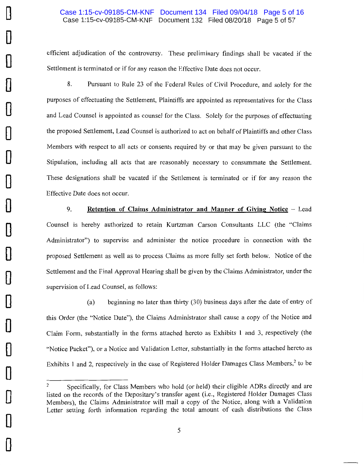### Case 1:15-cv-09185-CM-KNF Document 132 Filed 08/20/18 Page 5 of 57 Case 1:15-cv-09185-CM-KNF Document 134 Filed 09/04/18 Page 5 of 16

efficient adjudication of the controversy. These preliminary findings shall be vacated if the Settlement is terminated or if for any reason the Effective Date does not occur.

8. Pursuant to Rule 23 of the Federal Rules of Civil Procedure, and solely for the purposes of effectuating the Settlement, Plaintiffs are appointed as representatives for the Class and Lead Counsel is appointed as counsel for the Class. Solely for the purposes of effectuating the proposed Settlement, Lead Counsel is authorized to act on behalf of Plaintiffs and other Class Members with respect to all acts or consents required by or that may be given pursuant to the Stipulation, including all acts that are reasonably necessary to consummate the Settlement. These designations shall be vacated if the Settlement is terminated or if for any reason the Effective Date does not occur.

9. **Retention of Claims Administrator and Manner of Giving Notice** - Lead Counsel is hereby authorized to retain Kurtzman Carson Consultants LLC (the "Claims Administrator") to supervise and administer the notice procedure in connection with the proposed Settlement as well as to process Claims as more fully set forth below. Notice of the Settlement and the Final Approval Hearing shall be given by the Claims Administrator, under the supervision of Lead Counsel, as follows:

(a) beginning no later than thirty (30) business days after the date of entry of this Order (the "Notice Date"), the Claims Administrator shall cause a copy of the Notice and Claim Form, substantially in the forms attached hereto as Exhibits **1** and 3, respectively (the "Notice Packet"), or a Notice and Validation Letter, substantially in the forms attached hereto as Exhibits 1 and 2, respectively in the case of Registered Holder Damages Class Members,<sup>2</sup> to be

<sup>&</sup>lt;sup>2</sup> Specifically, for Class Members who hold (or held) their eligible ADRs directly and are listed on the records of the Depositary's transfer agent (i.e., Registered Holder Damages Class Members), the Claims Administrator will mail a copy of the Notice, along with a Validation Letter setting forth information regarding the total amount of cash distributions the Class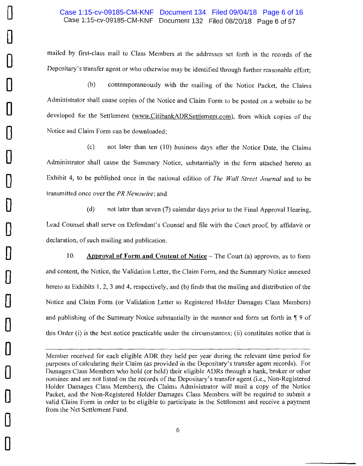# Case 1:15-cv-09185-CM-KNF Document 132 Filed 08/20/18 Page 6 of 57 Case 1:15-cv-09185-CM-KNF Document 134 Filed 09/04/18 Page 6 of 16

mailed by first-class mail to Class Members at the addresses set forth in the records of the Depositary's transfer agent or who otherwise may be identified through further reasonable effort;

(b) contemporaneously with the mailing of the Notice Packet, the Claims Administrator shall cause copies of the Notice and Claim Form to be posted on a website to be developed for the Settlement (www.CitibankADRSettlement.com), from which copies of the Notice and Claim Form can be downloaded;

*(* c) not later than ten (10) business days after the Notice Date, the Claims Administrator shall cause the Summary Notice, substantially in the form attached hereto as Exhibit 4, to be published once in the national edition of *The Wall Street Journal* and to be transmitted once over the PR *Newswire;* and

(d) not later than seven (7) calendar days prior to the Final Approval Hearing, Lead Counsel shall serve on Defendant's Counsel and file with the Court proof, by affidavit or declaration, of such mailing and publication.

10. **Approval of Form and Content of Notice** – The Court (a) approves, as to form and content, the Notice, the Validation Letter, the Claim Form, and the Summary Notice annexed hereto as Exhibits I, 2, 3 and 4, respectively, and (b) finds that the mailing and distribution of the Notice and Claim Form (or Validation Letter to Registered Holder Damages Class Members) and publishing of the Summary Notice substantially in the manner and form set forth in  $\P$  9 of this Order (i) is the best notice practicable under the circumstances; (ii) constitutes notice that is

Member received for each eligible ADR they held per year during the relevant time period for purposes of calculating their Claim (as provided in the Depositary's transfer agent records). For Damages Class Members who hold (or held) their eligible ADRs through a bank, broker or other nominee and are not listed on the records of the Depositary's transfer agent (i.e., Non-Registered Holder Damages Class Members), the Claims Administrator will mail a copy of the Notice Packet, and the Non-Registered Holder Damages Class Members will be required to submit a valid Claim Form in order to be eligible to participate in the Settlement and receive a payment from the Net Settlement Fund.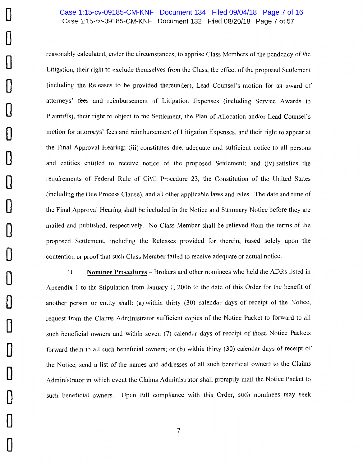# Case 1:15-cv-09185-CM-KNF Document 132 Filed 08/20/18 Page 7 of 57 Case 1:15-cv-09185-CM-KNF Document 134 Filed 09/04/18 Page 7 of 16

reasonably calculated, under the circumstances, to apprise Class Members of the pendency of the Litigation, their right to exclude themselves from the Class, the effect of the proposed Settlement (including the Releases to be provided thereunder), Lead Counsel's motion for an award of attorneys' fees and reimbursement of Litigation Expenses (including Service Awards to Plaintiffs), their right to object to the Settlement, the Plan of Allocation and/or Lead Counsel's motion for attorneys' fees and reimbursement of Litigation Expenses, and their right to appear at the Final Approval Hearing; (iii) constitutes due, adequate and sufficient notice to all persons and entities entitled to receive notice of the proposed Settlement; and (iv) satisfies the requirements of Federal Rule of Civil Procedure 23, the Constitution of the United States (including the Due Process Clause), and all other applicable laws and rules. The date and time of the Final Approval Hearing shall be included in the Notice and Summary Notice before they are mailed and published, respectively. No Class Member shall be relieved from the terms of the proposed Settlement, including the Releases provided for therein, based solely upon the contention or proof that such Class Member failed to receive adequate or actual notice.

11. **Nominee Procedures** - Brokers and other nominees who held the ADRs listed in Appendix I to the Stipulation from January I, 2006 to the date of this Order for the benefit of another person or entity shall: (a) within thirty (30) calendar days of receipt of the Notice, request from the Claims Administrator sufficient copies of the Notice Packet to forward to all such beneficial owners and within seven (7) calendar days of receipt of those Notice Packets forward them to all such beneficial owners; or (b) within thirty (30) calendar days of receipt of the Notice , send a list of the names and addresses of all such beneficial owners to the Claims Administrator in which event the Claims Administrator shall promptly mail the Notice Packet to such beneficial owners. Upon full compliance with this Order, such nominees may seek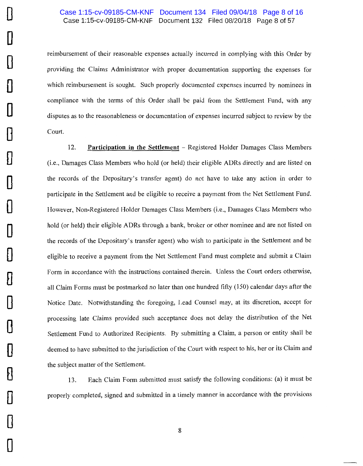## Case 1:15-cv-09185-CM-KNF Document 132 Filed 08/20/18 Page 8 of 57 Case 1:15-cv-09185-CM-KNF Document 134 Filed 09/04/18 Page 8 of 16

reimbursement of their reasonable expenses actually incurred in complying with this Order by providing the Claims Administrator with proper documentation supporting the expenses for which reimbursement is sought. Such properly documented expenses incurred by nominees in compliance with the terms of this Order shall be paid from the Settlement Fund, with any disputes as to the reasonableness or documentation of expenses incurred subject to review by the Court.

12. **Participation in the Settlement** - Registered Holder Damages Class Members (i.e., Damages Class Members who hold (or held) their eligible ADRs directly and are listed on the records of the Depositary's transfer agent) do not have to take any action in order to participate in the Settlement and be eligible to receive a payment from the Net Settlement Fund. However, Non-Registered Holder Damages Class Members (i.e., Damages Class Members who hold (or held) their eligible ADRs through a bank, broker or other nominee and are not listed on the records of the Depositary's transfer agent) who wish to participate in the Settlement and be eligible to receive a payment from the Net Settlement Fund must complete and submit a Claim Form in accordance with the instructions contained therein. Unless the Court orders otherwise, all Claim Forms must be postmarked no later than one hundred fifty (150) calendar days after the Notice Date. Notwithstanding the foregoing, Lead Counsel may, at its discretion, accept for processing late Claims provided such acceptance does not delay the distribution of the Net Settlement Fund to Authorized Recipients. By submitting a Claim, a person or entity shall be deemed to have submitted to the jurisdiction of the Court with respect to his, her or its Claim and the subject matter of the Settlement.

13. Each Claim Form submitted must satisfy the following conditions: (a) it must be properly completed, signed and submitted in a timely manner in accordance with the provisions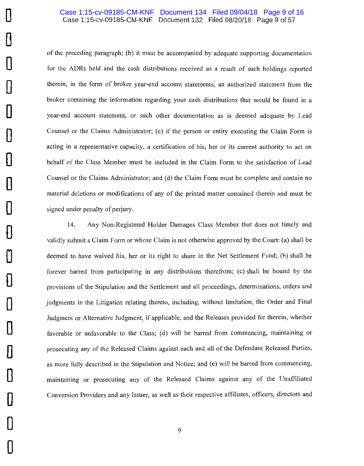#### Case 1:15-cv-09185-CM-KNF Document 132 Filed 08/20/18 Page 9 of 57 Case 1:15-cv-09185-CM-KNF Document 134 Filed 09/04/18 Page 9 of 16

of the preceding paragraph; (b) it must be accompanied by adequate supporting documentation for the ADRs held and the cash distributions received as a result of such holdings reported therein, in the form of broker year-end account statements, an authorized statement from the broker containing the information regarding your cash distributions that would be found in a year-end account statement, or such other documentation as is deemed adequate by Lead Counsel or the Claims Administrator; (c) if the person or entity executing the Claim Form is acting in a representative capacity, a certification of his, her or its current authority to act on behalf of the Class Member must be included in the Claim Form to the satisfaction of Lead Counsel or the Claims Administrator; and (d) the Claim Form must be complete and contain no material deletions or modifications of any of the printed matter contained therein and must be signed under penalty of perjury.

14. Any Non-Registered Holder Damages Class Member that does not timely and validly submit a Claim Form or whose Claim is not otherwise approved by the Court: (a) shall be deemed to have waived his, her or its right to share in the Net Settlement Fund; (b) shall be forever barred from participating in any distributions therefrom; (c) shall be bound by the provisions of the Stipulation and the Settlement and all proceedings, determinations, orders and judgments in the Litigation relating thereto, including, without limitation, the Order and Final Judgment or Alternative Judgment, if applicable, and the Releases provided for therein, whether favorable or unfavorable to the Class; (d) will be barred from commencing, maintaining or prosecuting any of the Released Claims against each and all of the Defendant Released Parties, as more fully described in the Stipulation and Notice; and (e) will be barred from commencing, maintaining or prosecuting any of the Released Claims against any of the Unaffiliated Conversion Providers and any Issuer, as well as their respective affiliates, officers, directors and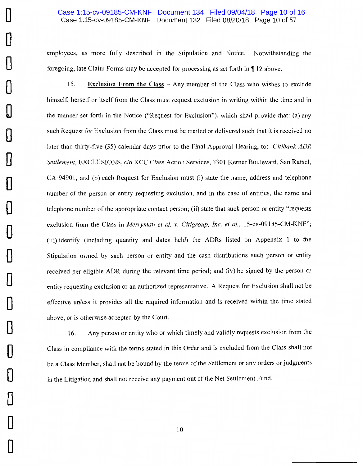#### Case 1:15-cv-09185-CM-KNF Document 132 Filed 08/20/18 Page 10 of 57 Case 1:15-cv-09185-CM-KNF Document 134 Filed 09/04/18 Page 10 of 16

employees, as more fully described in the Stipulation and Notice. Notwithstanding the foregoing, late Claim Forms may be accepted for processing as set forth in  $\P$  12 above.

15. **Exclusion From the Class** - Any member of the Class who wishes to exclude himself, herself or itself from the Class must request exclusion in writing within the time and in the manner set forth in the Notice ("Request for Exclusion"), which shall provide that: (a) any such Request for Exclusion from the Class must be mailed or delivered such that it is received no later than thirty-five (35) calendar days prior to the Final Approval Hearing, to: *Citibank ADR Settlement,* EXCLUSIONS, c/o KCC Class Action Services, 3301 Kerner Boulevard, San Rafael, CA 94901, and (b) each Request for Exclusion must (i) state the name, address and telephone number of the person or entity requesting exclusion, and in the case of entities, the name and telephone number of the appropriate contact person; (ii) state that such person or entity "requests exclusion from the Class in *Merryman et al. v. Citigroup, Inc. et al., 15-cv-09185-CM-KNF"*; (iii) identify (including quantity and dates held) the ADRs listed on Appendix 1 to the Stipulation owned by such person or entity and the cash distributions such person or entity received per eligible ADR during the relevant time period; and (iv) be signed by the person or entity requesting exclusion or an authorized representative. A Request for Exclusion shall not be effective unless it provides all the required information and is received within the time stated above, or is otherwise accepted by the Court.

16. Any person or entity who or which timely and validly requests exclusion from the Class in compliance with the terms stated in this Order and is excluded from the Class shall not be a Class Member, shall not be bound by the terms of the Settlement or any orders or judgments in the Litigation and shall not receive any payment out of the Net Settlement Fund.

 $\Box$ 

0

**0** 

0

 $\mathbb{I}$ 

 $\Box$ 

**0** 

**0** 

**D** 

**0** 

0

**0** 

**0** 

0

**0** 

0

**0** 

**0**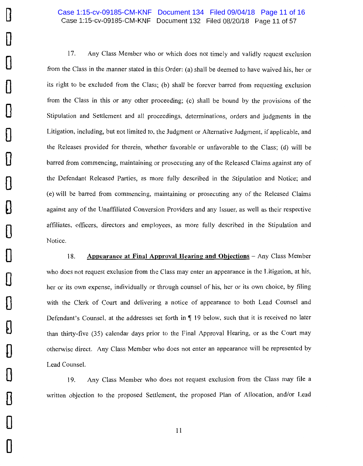# Case 1:15-cv-09185-CM-KNF Document 132 Filed 08/20/18 Page 11 of 57 Case 1:15-cv-09185-CM-KNF Document 134 Filed 09/04/18 Page 11 of 16

17. Any Class Member who or which does not timely and validly request exclusion from the Class in the manner stated in this Order: (a) shall be deemed to have waived his, her or its right to be excluded from the Class; (b) shall be forever barred from requesting exclusion from the Class in this or any other proceeding; (c) shall be bound by the provisions of the Stipulation and Settlement and all proceedings, determinations, orders and judgments in the Litigation, including, but not limited to, the Judgment or Alternative Judgment, if applicable, and the Releases provided for therein, whether favorable or unfavorable to the Class; (d) will be barred from commencing, maintaining or prosecuting any of the Released Claims against any of the Defendant Released Parties, as more fully described in the Stipulation and Notice; and (e) will be barred from commencing, maintaining or prosecuting any of the Released Claims against any of the Unaffiliated Conversion Providers and any Issuer, as well as their respective affiliates, officers, directors and employees, as more fully described in the Stipulation and Notice.

18. **Appearance at Final Approval Hearing and Objections** - Any Class Member who does not request exclusion from the Class may enter an appearance in the Litigation, at his, her or its own expense, individually or through counsel of his, her or its own choice, by filing with the Clerk of Court and delivering a notice of appearance to both Lead Counsel and Defendant's Counsel, at the addresses set forth in  $\P$  19 below, such that it is received no later than thirty-five (35) calendar days prior to the Final Approval Hearing, or as the Court may otherwise direct. Any Class Member who does not enter an appearance will be represented by Lead Counsel.

19. Any Class Member who does not request exclusion from the Class may file a written objection to the proposed Settlement, the proposed Plan of Allocation, and/or Lead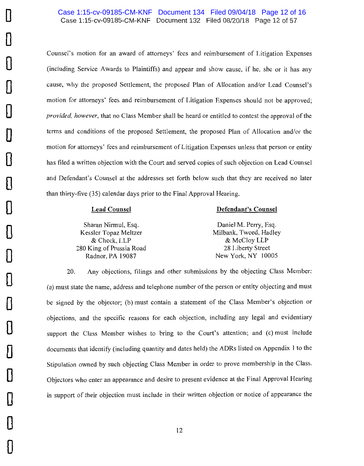Counsel's motion for an award of attorneys' fees and reimbursement of Litigation Expenses (including Service Awards to Plaintiffs) and appear and show cause, if he, she or it has any cause, why the proposed Settlement, the proposed Plan of Allocation and/or Lead Counsel's motion for attorneys' fees and reimbursement of Litigation Expenses should not be approved; *provided, however,* that no Class Member shall be heard or entitled to contest the approval of the terms and conditions of the proposed Settlement, the proposed Plan of Allocation and/or the motion for attorneys' fees and reimbursement of Litigation Expenses unless that person or entity has filed a written objection with the Court and served copies of such objection on Lead Counsel and Defendant's Counsel at the addresses set forth below such that they are received no later than thirty-five (35) calendar days prior to the Final Approval Hearing.

#### **Lead Counsel**

**D** 

**0** 

**0** 

**0** 

**0** 

**0** 

**0** 

**0** 

**D** 

**0** 

**0** 

**0** 

**0** 

**0** 

**0** 

**0** 

**0** 

**0** 

**0** 

#### **Defendant's Counsel**

Sharan Nirmul, Esq. Kessler Topaz Meltzer & Check, LLP 280 King of Prussia Road Radnor, PA 19087

Daniel M. Perry, Esq. Milbank, Tweed, Hadley & McCloy LLP 28 Liberty Street New York, NY 10005

20. Any objections, filings and other submissions by the objecting Class Member: (a) must state the name, address and telephone number of the person or entity objecting and must be signed by the objector; (b) must contain a statement of the Class Member's objection or objections, and the specific reasons for each objection, including any legal and evidentiary support the Class Member wishes to bring to the Court's attention; and (c) must include documents that identify (including quantity and dates held) the ADRs listed on Appendix l to the Stipulation owned by such objecting Class Member in order to prove membership in the Class. Objectors who enter an appearance and desire to present evidence at the Final Approval Hearing in support of their objection must include in their written objection or notice of appearance the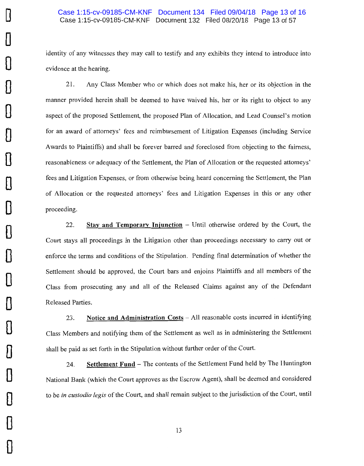$\mathbf{J}$ 

**D** 

**0** 

**0** 

**0** 

**0** 

**0** 

**0** 

**0** 

**0** 

**0** 

**0** 

**0** 

**0** 

**0** 

**0** 

 $\mathbb{D}$ 

•

**D** 

identity of any witnesses they may call to testify and any exhibits they intend to introduce into evidence at the hearing.

21. Any Class Member who or which does not make his, her or its objection in the manner provided herein shall be deemed to have waived his, her or its right to object to any aspect of the proposed Settlement, the proposed Plan of Allocation, and Lead Counsel's motion for an award of attorneys' fees and reimbursement of Litigation Expenses (including Service Awards to Plaintiffs) and shall be forever barred and foreclosed from objecting to the fairness, reasonableness or adequacy of the Settlement, the Plan of Allocation or the requested attorneys' fees and Litigation Expenses, or from otherwise being heard concerning the Settlement, the Plan of Allocation or the requested attorneys' fees and Litigation Expenses in this or any other proceeding.

22. **Stay and Temporary Injunction** – Until otherwise ordered by the Court, the Court stays all proceedings in the Litigation other than proceedings necessary to carry out or enforce the terms and conditions of the Stipulation. Pending final determination of whether the Settlement should be approved, the Court bars and enjoins Plaintiffs and all members of the Class from prosecuting any and all of the Released Claims against any of the Defendant Released Parties.

23. **Notice and Administration Costs** - All reasonable costs incurred in identifying Class Members and notifying them of the Settlement as well as in administering the Settlement shall be paid as set forth in the Stipulation without further order of the Court.

24. **Settlement Fund** – The contents of the Settlement Fund held by The Huntington National Bank (which the Court approves as the Escrow Agent), shall be deemed and considered to be *in custodia legis* of the Court, and shall remain subject to the jurisdiction of the Court, until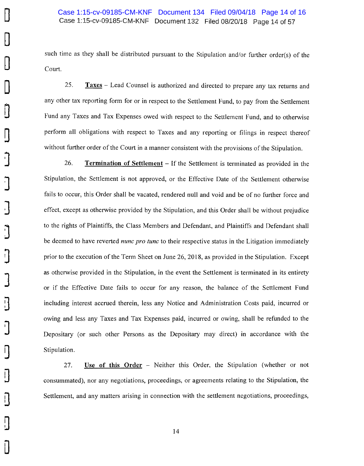**D** 

**D** 

**D** 

**D** 

**0** 

**D** 

**J** 

**J** 

**J** 

**J** 

~

]

•

**J** 

~

П

**D** 

**0** 

**D** 

**D** 

such time as they shall be distributed pursuant to the Stipulation and/or further order(s) of the Court.

25. **Taxes** - Lead Counsel is authorized and directed to prepare any tax returns and any other tax reporting form for or in respect to the Settlement Fund, to pay from the Settlement Fund any Taxes and Tax Expenses owed with respect to the Settlement Fund, and to otherwise perform all obligations with respect to Taxes and any reporting or filings in respect thereof without further order of the Court in a manner consistent with the provisions of the Stipulation.

26. **Termination of Settlement** - If the Settlement is terminated as provided in the Stipulation, the Settlement is not approved, or the Effective Date of the Settlement otherwise fails to occur, this Order shall be vacated, rendered null and void and be of no further force and effect, except as otherwise provided by the Stipulation, and this Order shall be without prejudice to the rights of Plaintiffs, the Class Members and Defendant, and Plaintiffs and Defendant shall be deemed to have reverted *nunc pro tune* to their respective status in the Litigation immediately prior to the execution of the Term Sheet on June 26, 2018, as provided in the Stipulation. Except as otherwise provided in the Stipulation, in the event the Settlement is terminated in its entirety or if the Effective Date fails to occur for any reason, the balance of the Settlement Fund including interest accrued therein, less any Notice and Administration Costs paid, incurred or owing and less any Taxes and Tax Expenses paid, incurred or owing, shall be refunded to the Depositary (or such other Persons as the Depositary may direct) in accordance with the Stipulation.

27. **Use of this Order** - Neither this Order, the Stipulation (whether or not consummated), nor any negotiations, proceedings, or agreements relating to the Stipulation, the Settlement, and any matters arising in connection with the settlement negotiations, proceedings,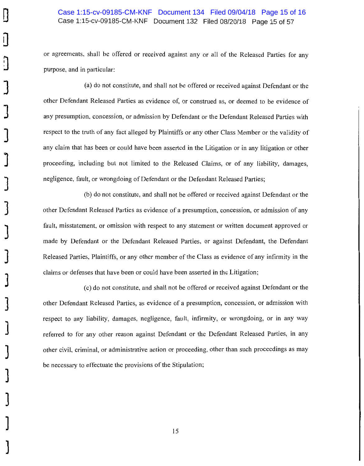# Case 1:15-cv-09185-CM-KNF Document 132 Filed 08/20/18 Page 15 of 57 Case 1:15-cv-09185-CM-KNF Document 134 Filed 09/04/18 Page 15 of 16

or agreements, shall be offered or received against any or all of the Released Parties for any purpose, and in particular:

(a) do not constitute, and shall not be offered or received against Defendant or the other Defendant Released Parties as evidence of, or construed as, or deemed to be evidence of any presumption, concession, or admission by Defendant or the Defendant Released Parties with respect to the truth of any fact alleged by Plaintiffs or any other Class Member or the validity of any claim that has been or could have been asserted in the Litigation or in any litigation or other proceeding, including but not limited to the Released Claims, or of any liability, damages, negligence, fault, or wrongdoing of Defendant or the Defendant Released Parties;

(b) do not constitute, and shall not be offered or received against Defendant or the other Defendant Released Parties as evidence of a presumption, concession, or admission of any fault, misstatement, or omission with respect to any statement or written document approved or made by Defendant or the Defendant Released Parties, or against Defendant, the Defendant Released Parties, Plaintiffs, or any other member of the Class as evidence of any infirmity in the claims or defenses that have been or could have been asserted in the Litigation;

(c) do not constitute, and shall not be offered or received against Defendant or the other Defendant Released Parties, as evidence of a presumption, concession, or admission with respect to any liability, damages, negligence, fault, infirmity, or wrongdoing, or in any way referred to for any other reason against Defendant or the Defendant Released Parties, in any other civil, criminal, or administrative action or proceeding, other than such proceedings as may be necessary to effectuate the provisions of the Stipulation;